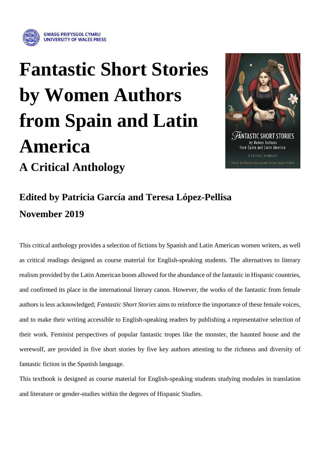

# **Fantastic Short Stories by Women Authors from Spain and Latin America A Critical Anthology**



## **Edited by Patricia García and Teresa López-Pellisa November 2019**

This critical anthology provides a selection of fictions by Spanish and Latin American women writers, as well as critical readings designed as course material for English-speaking students. The alternatives to literary realism provided by the Latin American boom allowed for the abundance of the fantastic in Hispanic countries, and confirmed its place in the international literary canon. However, the works of the fantastic from female authors is less acknowledged; *Fantastic Short Stories* aims to reinforce the importance of these female voices, and to make their writing accessible to English-speaking readers by publishing a representative selection of their work. Feminist perspectives of popular fantastic tropes like the monster, the haunted house and the werewolf, are provided in five short stories by five key authors attesting to the richness and diversity of fantastic fiction in the Spanish language.

This textbook is designed as course material for English-speaking students studying modules in translation and literature or gender-studies within the degrees of Hispanic Studies.